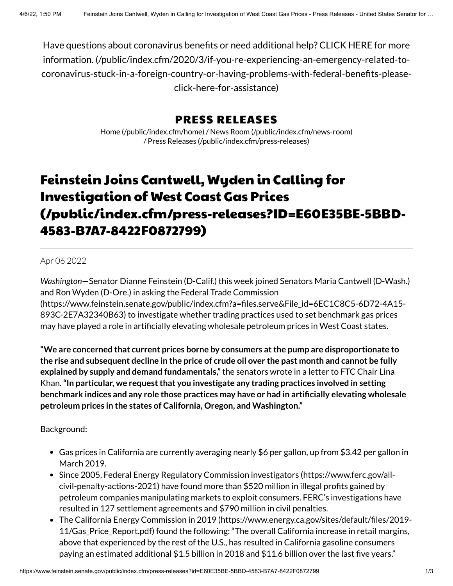Have questions about coronavirus benefits or need additional help? CLICK HERE for more information. (/public/index.cfm/2020/3/if-you-re-experiencing-an-emergency-related-to[coronavirus-stuck-in-a-foreign-country-or-having-problems-with-federal-benefits-please](https://www.feinstein.senate.gov/public/index.cfm/2020/3/if-you-re-experiencing-an-emergency-related-to-coronavirus-stuck-in-a-foreign-country-or-having-problems-with-federal-benefits-please-click-here-for-assistance)click-here-for-assistance)

## PRESS RELEASES

Home [\(/public/index.cfm/home\)](https://www.feinstein.senate.gov/public/index.cfm/home) / News Room [\(/public/index.cfm/news-room\)](https://www.feinstein.senate.gov/public/index.cfm/news-room) / Press Releases [\(/public/index.cfm/press-releases\)](https://www.feinstein.senate.gov/public/index.cfm/press-releases)

## Feinstein Joins Cantwell, Wyden in Calling for Investigation of West Coast Gas Prices [\(/public/index.cfm/press-releases?ID=E60E35BE-5BBD-](https://www.feinstein.senate.gov/public/index.cfm/press-releases?ID=E60E35BE-5BBD-4583-B7A7-8422F0872799)4583-B7A7-8422F0872799)

## Apr 06 2022

*Washington*—Senator Dianne Feinstein (D-Calif.) this week joined Senators Maria Cantwell (D-Wash.) and Ron Wyden (D-Ore.) in asking the Federal Trade Commission [\(https://www.feinstein.senate.gov/public/index.cfm?a=files.serve&File\\_id=6EC1C8C5-6D72-4A15-](https://www.feinstein.senate.gov/public/index.cfm?a=files.serve&File_id=6EC1C8C5-6D72-4A15-893C-2E7A32340B63) 893C-2E7A32340B63) to investigate whether trading practices used to set benchmark gas prices may have played a role in artificially elevating wholesale petroleum prices in West Coast states.

**"We are concerned that current prices borne by consumers atthe pump are disproportionate to** the rise and subsequent decline in the price of crude oil over the past month and cannot be fully **explained by supply and demand fundamentals,"**the senators wrote in a letter to FTC Chair Lina Khan.**"In particular, we requestthat you investigate any trading practices involved in setting benchmark indices and any role those practices may have or had in artificially elevating wholesale petroleum prices in the states of California, Oregon, and Washington."**

## Background:

- Gas prices in California are currently averaging nearly \$6 per gallon, up from \$3.42 per gallon in March 2019.
- Since 2005, Federal Energy Regulatory Commission investigators (https://www.ferc.gov/all[civil-penalty-actions-2021\)](https://www.ferc.gov/all-civil-penalty-actions-2021) have found more than \$520 million in illegal profits gained by petroleum companies manipulating markets to exploit consumers. FERC's investigations have resulted in 127 settlement agreements and \$790 million in civil penalties.
- The California Energy Commission in 2019 [\(https://www.energy.ca.gov/sites/default/files/2019-](https://www.energy.ca.gov/sites/default/files/2019-11/Gas_Price_Report.pdf) 11/Gas\_Price\_Report.pdf) found the following: "The overall California increase in retail margins, above that experienced by the rest of the U.S., has resulted in California gasoline consumers paying an estimated additional \$1.5 billion in 2018 and \$11.6 billion over the last five years."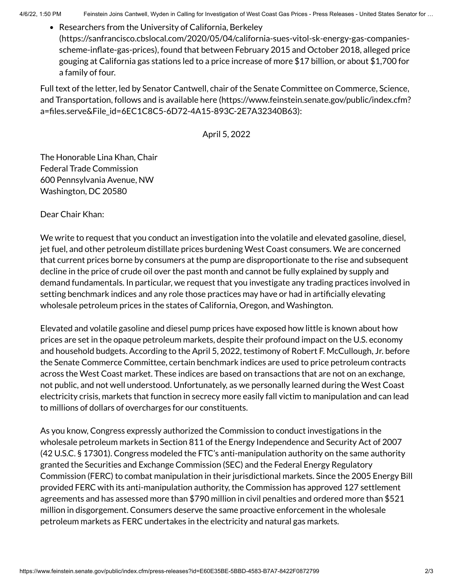4/6/22, 1:50 PM Feinstein Joins Cantwell, Wyden in Calling for Investigation of West Coast Gas Prices - Press Releases - United States Senator for …

Researchers from the University of California, Berkeley [\(https://sanfrancisco.cbslocal.com/2020/05/04/california-sues-vitol-sk-energy-gas-companies](https://sanfrancisco.cbslocal.com/2020/05/04/california-sues-vitol-sk-energy-gas-companies-scheme-inflate-gas-prices)scheme-inflate-gas-prices), found that between February 2015 and October 2018, alleged price gouging at California gas stations led to a price increase of more \$17 billion, or about \$1,700 for a family of four.

Full text of the letter, led by Senator Cantwell, chair of the Senate Committee on Commerce, Science, and Transportation, follows and is available here (https://www.feinstein.senate.gov/public/index.cfm? [a=files.serve&File\\_id=6EC1C8C5-6D72-4A15-893C-2E7A32340B63\):](https://www.feinstein.senate.gov/public/index.cfm?a=files.serve&File_id=6EC1C8C5-6D72-4A15-893C-2E7A32340B63)

April 5, 2022

The Honorable Lina Khan, Chair Federal Trade Commission 600 Pennsylvania Avenue, NW Washington, DC 20580

Dear Chair Khan:

We write to request that you conduct an investigation into the volatile and elevated gasoline, diesel, jet fuel, and other petroleum distillate prices burdening West Coast consumers. We are concerned that current prices borne by consumers at the pump are disproportionate to the rise and subsequent decline in the price of crude oil over the past month and cannot be fully explained by supply and demand fundamentals. In particular, we request that you investigate any trading practices involved in setting benchmark indices and any role those practices may have or had in artificially elevating wholesale petroleum prices in the states of California, Oregon, and Washington.

Elevated and volatile gasoline and diesel pump prices have exposed how little is known about how prices are set in the opaque petroleum markets, despite their profound impact on the U.S. economy and household budgets. According to the April 5, 2022, testimony of Robert F. McCullough, Jr. before the Senate Commerce Committee, certain benchmark indices are used to price petroleum contracts across the West Coast market. These indices are based on transactions that are not on an exchange, not public, and not well understood. Unfortunately, as we personally learned during the West Coast electricity crisis, markets that function in secrecy more easily fall victim to manipulation and can lead to millions of dollars of overcharges for our constituents.

As you know, Congress expressly authorized the Commission to conduct investigations in the wholesale petroleum markets in Section 811 of the Energy Independence and Security Act of 2007 (42 U.S.C. § 17301). Congress modeled the FTC's anti-manipulation authority on the same authority granted the Securities and Exchange Commission (SEC) and the Federal Energy Regulatory Commission (FERC) to combat manipulation in their jurisdictional markets. Since the 2005 Energy Bill provided FERC with its anti-manipulation authority, the Commission has approved 127 settlement agreements and has assessed more than \$790 million in civil penalties and ordered more than \$521 million in disgorgement. Consumers deserve the same proactive enforcement in the wholesale petroleum markets as FERC undertakes in the electricity and natural gas markets.